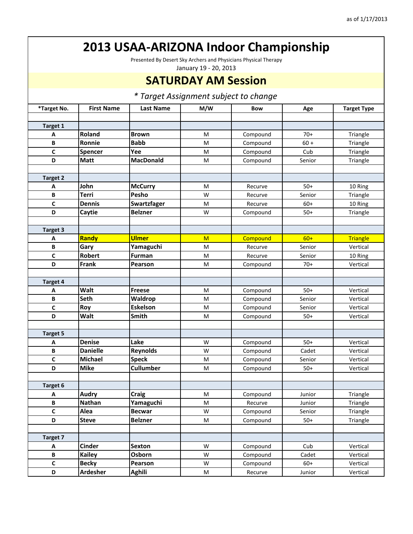Presented By Desert Sky Archers and Physicians Physical Therapy

January 19 ‐ 20, 2013

#### **SATURDAY AM Session**

| *Target No.     | <b>First Name</b> | <b>Last Name</b> | M/W                                                                                                        | <b>Bow</b> | Age    | <b>Target Type</b> |
|-----------------|-------------------|------------------|------------------------------------------------------------------------------------------------------------|------------|--------|--------------------|
|                 |                   |                  |                                                                                                            |            |        |                    |
| Target 1        |                   |                  |                                                                                                            |            |        |                    |
| Α               | Roland            | <b>Brown</b>     | M                                                                                                          | Compound   | $70+$  | Triangle           |
| B               | Ronnie            | <b>Babb</b>      | $\mathsf{M}% _{T}=\mathsf{M}_{T}\!\left( a,b\right) ,\ \mathsf{M}_{T}=\mathsf{M}_{T}\!\left( a,b\right) ,$ | Compound   | $60 +$ | Triangle           |
| C               | Spencer           | Yee              | M                                                                                                          | Compound   | Cub    | Triangle           |
| D               | <b>Matt</b>       | <b>MacDonald</b> | M                                                                                                          | Compound   | Senior | Triangle           |
|                 |                   |                  |                                                                                                            |            |        |                    |
| <b>Target 2</b> |                   |                  |                                                                                                            |            |        |                    |
| A               | John              | <b>McCurry</b>   | M                                                                                                          | Recurve    | $50+$  | 10 Ring            |
| В               | <b>Terri</b>      | Pesho            | W                                                                                                          | Recurve    | Senior | Triangle           |
| C               | <b>Dennis</b>     | Swartzfager      | M                                                                                                          | Recurve    | $60+$  | 10 Ring            |
| D               | Caytie            | <b>Belzner</b>   | W                                                                                                          | Compound   | $50+$  | Triangle           |
|                 |                   |                  |                                                                                                            |            |        |                    |
| Target 3        |                   |                  |                                                                                                            |            |        |                    |
| A               | Randy             | <b>Ulmer</b>     | M                                                                                                          | Compound   | $60+$  | <b>Triangle</b>    |
| B               | Gary              | Yamaguchi        | M                                                                                                          | Recurve    | Senior | Vertical           |
| C               | <b>Robert</b>     | <b>Furman</b>    | M                                                                                                          | Recurve    | Senior | 10 Ring            |
| D               | Frank             | Pearson          | M                                                                                                          | Compound   | $70+$  | Vertical           |
|                 |                   |                  |                                                                                                            |            |        |                    |
| Target 4        |                   |                  |                                                                                                            |            |        |                    |
| Α               | Walt              | <b>Freese</b>    | M                                                                                                          | Compound   | $50+$  | Vertical           |
| B               | <b>Seth</b>       | Waldrop          | M                                                                                                          | Compound   | Senior | Vertical           |
| C               | Roy               | <b>Eskelson</b>  | M                                                                                                          | Compound   | Senior | Vertical           |
| D               | <b>Walt</b>       | Smith            | M                                                                                                          | Compound   | $50+$  | Vertical           |
|                 |                   |                  |                                                                                                            |            |        |                    |
| <b>Target 5</b> |                   |                  |                                                                                                            |            |        |                    |
| Α               | <b>Denise</b>     | Lake             | W                                                                                                          | Compound   | $50+$  | Vertical           |
| B               | <b>Danielle</b>   | <b>Reynolds</b>  | W                                                                                                          | Compound   | Cadet  | Vertical           |
| C               | Michael           | <b>Speck</b>     | M                                                                                                          | Compound   | Senior | Vertical           |
| D               | <b>Mike</b>       | Cullumber        | M                                                                                                          | Compound   | $50+$  | Vertical           |
|                 |                   |                  |                                                                                                            |            |        |                    |
| Target 6        |                   |                  |                                                                                                            |            |        |                    |
| Α               | <b>Audry</b>      | <b>Craig</b>     | M                                                                                                          | Compound   | Junior | Triangle           |
| В               | <b>Nathan</b>     | Yamaguchi        | M                                                                                                          | Recurve    | Junior | Triangle           |
| $\mathsf{C}$    | Alea              | <b>Becwar</b>    | W                                                                                                          | Compound   | Senior | Triangle           |
| D               | <b>Steve</b>      | <b>Belzner</b>   | M                                                                                                          | Compound   | $50+$  | Triangle           |
|                 |                   |                  |                                                                                                            |            |        |                    |
| Target 7        |                   |                  |                                                                                                            |            |        |                    |
| A               | <b>Cinder</b>     | <b>Sexton</b>    | W                                                                                                          | Compound   | Cub    | Vertical           |
| B               | <b>Kailey</b>     | Osborn           | W                                                                                                          | Compound   | Cadet  | Vertical           |
| $\mathsf{C}$    | <b>Becky</b>      | Pearson          | W                                                                                                          | Compound   | $60+$  | Vertical           |
| D               | Ardesher          | <b>Aghili</b>    | ${\sf M}$                                                                                                  | Recurve    | Junior | Vertical           |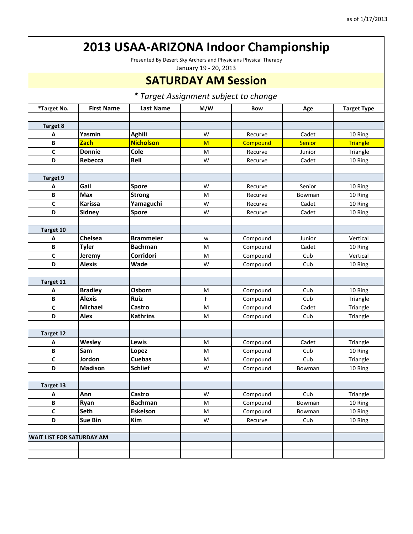Presented By Desert Sky Archers and Physicians Physical Therapy

January 19 ‐ 20, 2013

#### **SATURDAY AM Session**

| *Target No.                      | <b>First Name</b> | <b>Last Name</b> | M/W | <b>Bow</b> | Age           | <b>Target Type</b> |
|----------------------------------|-------------------|------------------|-----|------------|---------------|--------------------|
|                                  |                   |                  |     |            |               |                    |
| <b>Target 8</b>                  |                   |                  |     |            |               |                    |
| Α                                | Yasmin            | <b>Aghili</b>    | W   | Recurve    | Cadet         | 10 Ring            |
| B                                | <b>Zach</b>       | <b>Nicholson</b> | M   | Compound   | <b>Senior</b> | <b>Triangle</b>    |
| $\mathbf c$                      | <b>Donnie</b>     | Cole             | M   | Recurve    | Junior        | Triangle           |
| D                                | Rebecca           | <b>Bell</b>      | W   | Recurve    | Cadet         | 10 Ring            |
|                                  |                   |                  |     |            |               |                    |
| Target 9                         |                   |                  |     |            |               |                    |
| A                                | Gail              | Spore            | W   | Recurve    | Senior        | 10 Ring            |
| B                                | <b>Max</b>        | <b>Strong</b>    | M   | Recurve    | Bowman        | 10 Ring            |
| $\mathbf c$                      | <b>Karissa</b>    | Yamaguchi        | W   | Recurve    | Cadet         | 10 Ring            |
| D                                | <b>Sidney</b>     | <b>Spore</b>     | W   | Recurve    | Cadet         | 10 Ring            |
|                                  |                   |                  |     |            |               |                    |
| Target 10                        |                   |                  |     |            |               |                    |
| А                                | Chelsea           | <b>Brammeier</b> | w   | Compound   | Junior        | Vertical           |
| B                                | <b>Tyler</b>      | <b>Bachman</b>   | M   | Compound   | Cadet         | 10 Ring            |
| C                                | Jeremy            | Corridori        | M   | Compound   | Cub           | Vertical           |
| D                                | <b>Alexis</b>     | Wade             | W   | Compound   | Cub           | 10 Ring            |
|                                  |                   |                  |     |            |               |                    |
| Target 11                        |                   |                  |     |            |               |                    |
| Α                                | <b>Bradley</b>    | Osborn           | M   | Compound   | Cub           | 10 Ring            |
| B                                | <b>Alexis</b>     | <b>Ruiz</b>      | F   | Compound   | Cub           | Triangle           |
| $\mathbf c$                      | Michael           | Castro           | M   | Compound   | Cadet         | Triangle           |
| D                                | <b>Alex</b>       | <b>Kathrins</b>  | M   | Compound   | Cub           | Triangle           |
|                                  |                   |                  |     |            |               |                    |
| Target 12                        |                   |                  |     |            |               |                    |
| Α                                | Wesley            | Lewis            | M   | Compound   | Cadet         | Triangle           |
| B                                | Sam               | Lopez            | M   | Compound   | Cub           | 10 Ring            |
| $\mathbf c$                      | Jordon            | <b>Cuebas</b>    | M   | Compound   | Cub           | Triangle           |
| D                                | <b>Madison</b>    | <b>Schlief</b>   | W   | Compound   | Bowman        | 10 Ring            |
|                                  |                   |                  |     |            |               |                    |
| Target 13                        |                   |                  |     |            |               |                    |
| Α                                | Ann               | Castro           | W   | Compound   | Cub           | Triangle           |
| B                                | Ryan              | <b>Bachman</b>   | M   | Compound   | Bowman        | 10 Ring            |
| C                                | <b>Seth</b>       | Eskelson         | M   | Compound   | Bowman        | 10 Ring            |
| D                                | <b>Sue Bin</b>    | Kim              | W   | Recurve    | Cub           | 10 Ring            |
|                                  |                   |                  |     |            |               |                    |
| <b>WAIT LIST FOR SATURDAY AM</b> |                   |                  |     |            |               |                    |
|                                  |                   |                  |     |            |               |                    |
|                                  |                   |                  |     |            |               |                    |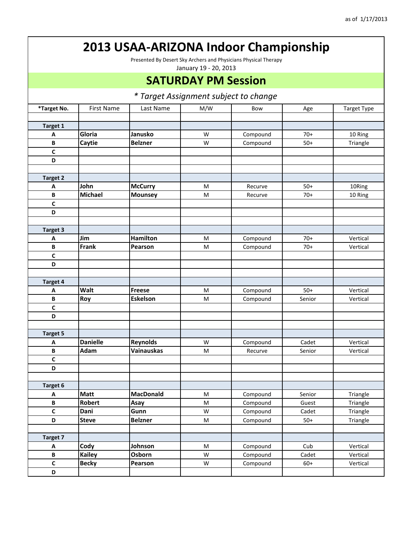Presented By Desert Sky Archers and Physicians Physical Therapy

January 19 ‐ 20, 2013

### **SATURDAY PM Session**

| *Target No.     | <b>First Name</b> | Last Name         | M/W                                                                                                        | Bow      |        | <b>Target Type</b> |
|-----------------|-------------------|-------------------|------------------------------------------------------------------------------------------------------------|----------|--------|--------------------|
|                 |                   |                   |                                                                                                            |          | Age    |                    |
| <b>Target 1</b> |                   |                   |                                                                                                            |          |        |                    |
| Α               | Gloria            | Janusko           | W                                                                                                          | Compound | $70+$  | 10 Ring            |
| В               | Caytie            | <b>Belzner</b>    | W                                                                                                          | Compound | $50+$  | Triangle           |
| C               |                   |                   |                                                                                                            |          |        |                    |
| D               |                   |                   |                                                                                                            |          |        |                    |
|                 |                   |                   |                                                                                                            |          |        |                    |
| <b>Target 2</b> |                   |                   |                                                                                                            |          |        |                    |
|                 | John              | <b>McCurry</b>    | ${\sf M}$                                                                                                  | Recurve  | $50+$  | 10Ring             |
| A<br>B          | <b>Michael</b>    | <b>Mounsey</b>    | ${\sf M}$                                                                                                  | Recurve  | $70+$  |                    |
| C               |                   |                   |                                                                                                            |          |        | 10 Ring            |
| D               |                   |                   |                                                                                                            |          |        |                    |
|                 |                   |                   |                                                                                                            |          |        |                    |
| <b>Target 3</b> |                   |                   |                                                                                                            |          |        |                    |
| Α               | Jim               | <b>Hamilton</b>   | M                                                                                                          | Compound | $70+$  | Vertical           |
| $\, {\bf B} \,$ | <b>Frank</b>      | Pearson           | M                                                                                                          | Compound | $70+$  | Vertical           |
| $\mathsf{C}$    |                   |                   |                                                                                                            |          |        |                    |
| D               |                   |                   |                                                                                                            |          |        |                    |
|                 |                   |                   |                                                                                                            |          |        |                    |
| Target 4        |                   |                   |                                                                                                            |          |        |                    |
| Α               | Walt              | <b>Freese</b>     | $\mathsf{M}% _{T}=\mathsf{M}_{T}\!\left( a,b\right) ,\ \mathsf{M}_{T}=\mathsf{M}_{T}\!\left( a,b\right) ,$ | Compound | $50+$  | Vertical           |
| B               | Roy               | <b>Eskelson</b>   | M                                                                                                          | Compound | Senior | Vertical           |
| C               |                   |                   |                                                                                                            |          |        |                    |
| D               |                   |                   |                                                                                                            |          |        |                    |
|                 |                   |                   |                                                                                                            |          |        |                    |
| <b>Target 5</b> |                   |                   |                                                                                                            |          |        |                    |
| A               | <b>Danielle</b>   | Reynolds          | W                                                                                                          | Compound | Cadet  | Vertical           |
| B               | Adam              | <b>Vainauskas</b> | M                                                                                                          | Recurve  | Senior | Vertical           |
| C               |                   |                   |                                                                                                            |          |        |                    |
| D               |                   |                   |                                                                                                            |          |        |                    |
|                 |                   |                   |                                                                                                            |          |        |                    |
| <b>Target 6</b> |                   |                   |                                                                                                            |          |        |                    |
| Α               | <b>Matt</b>       | <b>MacDonald</b>  | M                                                                                                          | Compound | Senior | Triangle           |
| B               | Robert            | Asay              | M                                                                                                          | Compound | Guest  | Triangle           |
| $\mathsf{C}$    | Dani              | Gunn              | W                                                                                                          | Compound | Cadet  | Triangle           |
| D               | <b>Steve</b>      | <b>Belzner</b>    | M                                                                                                          | Compound | $50+$  | Triangle           |
|                 |                   |                   |                                                                                                            |          |        |                    |
| Target 7        |                   |                   |                                                                                                            |          |        |                    |
| A               | Cody              | Johnson           | M                                                                                                          | Compound | Cub    | Vertical           |
| $\, {\bf B} \,$ | <b>Kailey</b>     | Osborn            | W                                                                                                          | Compound | Cadet  | Vertical           |
| $\mathsf{C}$    | <b>Becky</b>      | Pearson           | W                                                                                                          | Compound | $60+$  | Vertical           |
| D               |                   |                   |                                                                                                            |          |        |                    |
|                 |                   |                   |                                                                                                            |          |        |                    |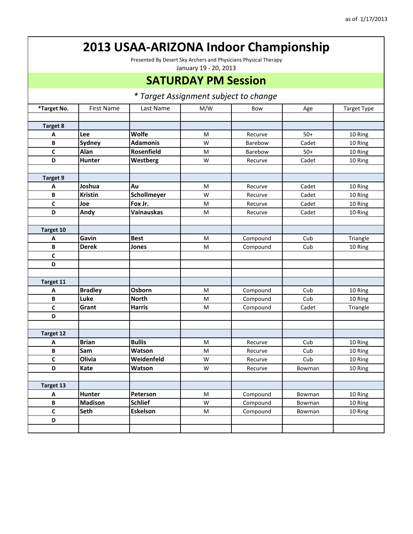Presented By Desert Sky Archers and Physicians Physical Therapy

January 19 ‐ 20, 2013

### **SATURDAY PM Session**

| *Target No.     | <b>First Name</b> | Last Name         | M/W | Bow      | Age    | <b>Target Type</b> |
|-----------------|-------------------|-------------------|-----|----------|--------|--------------------|
|                 |                   |                   |     |          |        |                    |
| <b>Target 8</b> |                   |                   |     |          |        |                    |
| Α               | Lee               | Wolfe             | M   | Recurve  | $50+$  | 10 Ring            |
| B               | <b>Sydney</b>     | <b>Adamonis</b>   | W   | Barebow  | Cadet  | 10 Ring            |
| C               | Alan              | Rosenfield        | M   | Barebow  | $50+$  | 10 Ring            |
| D               | <b>Hunter</b>     | Westberg          | W   | Recurve  | Cadet  | 10 Ring            |
|                 |                   |                   |     |          |        |                    |
| <b>Target 9</b> |                   |                   |     |          |        |                    |
| A               | Joshua            | Au                | M   | Recurve  | Cadet  | 10 Ring            |
| B               | <b>Kristin</b>    | Schollmeyer       | W   | Recurve  | Cadet  | 10 Ring            |
| $\overline{c}$  | Joe               | Fox Jr.           | M   | Recurve  | Cadet  | 10 Ring            |
| D               | Andy              | <b>Vainauskas</b> | M   | Recurve  | Cadet  | 10 Ring            |
|                 |                   |                   |     |          |        |                    |
| Target 10       |                   |                   |     |          |        |                    |
| А               | Gavin             | <b>Best</b>       | M   | Compound | Cub    | Triangle           |
| B               | <b>Derek</b>      | Jones             | M   | Compound | Cub    | 10 Ring            |
| $\mathsf{C}$    |                   |                   |     |          |        |                    |
| D               |                   |                   |     |          |        |                    |
|                 |                   |                   |     |          |        |                    |
| Target 11       |                   |                   |     |          |        |                    |
| Α               | <b>Bradley</b>    | Osborn            | M   | Compound | Cub    | 10 Ring            |
| B               | Luke              | <b>North</b>      | M   | Compound | Cub    | 10 Ring            |
| $\mathsf{C}$    | Grant             | <b>Harris</b>     | M   | Compound | Cadet  | Triangle           |
| D               |                   |                   |     |          |        |                    |
|                 |                   |                   |     |          |        |                    |
| Target 12       |                   |                   |     |          |        |                    |
| Α               | <b>Brian</b>      | <b>Bullis</b>     | M   | Recurve  | Cub    | 10 Ring            |
| B               | Sam               | Watson            | M   | Recurve  | Cub    | 10 Ring            |
| C               | Olivia            | Weidenfeld        | W   | Recurve  | Cub    | 10 Ring            |
| D               | Kate              | Watson            | W   | Recurve  | Bowman | 10 Ring            |
|                 |                   |                   |     |          |        |                    |
| Target 13       |                   |                   |     |          |        |                    |
| Α               | <b>Hunter</b>     | Peterson          | M   | Compound | Bowman | 10 Ring            |
| B               | <b>Madison</b>    | <b>Schlief</b>    | W   | Compound | Bowman | 10 Ring            |
| C               | Seth              | <b>Eskelson</b>   | M   | Compound | Bowman | 10 Ring            |
| D               |                   |                   |     |          |        |                    |
|                 |                   |                   |     |          |        |                    |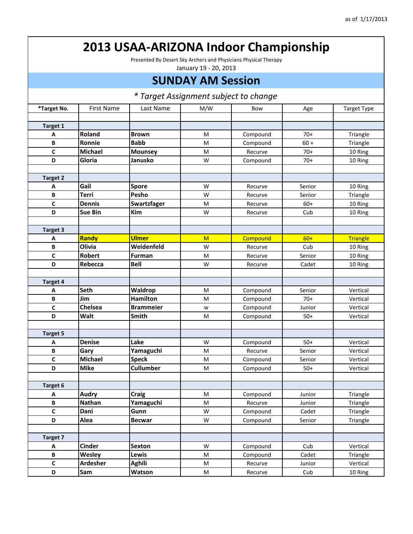Presented By Desert Sky Archers and Physicians Physical Therapy

January 19 ‐ 20, 2013

#### **SUNDAY AM Session**

| *Target No.     | <b>First Name</b> | Last Name        | M/W | Bow      | Age    | <b>Target Type</b> |
|-----------------|-------------------|------------------|-----|----------|--------|--------------------|
|                 |                   |                  |     |          |        |                    |
| Target 1        |                   |                  |     |          |        |                    |
| A               | Roland            | <b>Brown</b>     | М   | Compound | $70+$  | Triangle           |
| B               | Ronnie            | <b>Babb</b>      | M   | Compound | $60 +$ | Triangle           |
| $\mathbf c$     | <b>Michael</b>    | <b>Mounsey</b>   | M   | Recurve  | $70+$  | 10 Ring            |
| D               | Gloria            | Janusko          | W   | Compound | $70+$  | 10 Ring            |
|                 |                   |                  |     |          |        |                    |
| <b>Target 2</b> |                   |                  |     |          |        |                    |
| Α               | Gail              | <b>Spore</b>     | W   | Recurve  | Senior | 10 Ring            |
| B               | <b>Terri</b>      | Pesho            | W   | Recurve  | Senior | Triangle           |
| C               | <b>Dennis</b>     | Swartzfager      | M   | Recurve  | $60+$  | 10 Ring            |
| D               | <b>Sue Bin</b>    | Kim              | W   | Recurve  | Cub    | 10 Ring            |
|                 |                   |                  |     |          |        |                    |
| Target 3        |                   |                  |     |          |        |                    |
| A               | Randy             | <b>Ulmer</b>     | M   | Compound | $60+$  | <b>Triangle</b>    |
| B               | Olivia            | Weidenfeld       | W   | Recurve  | Cub    | 10 Ring            |
| $\mathbf c$     | <b>Robert</b>     | <b>Furman</b>    | M   | Recurve  | Senior | 10 Ring            |
| D               | Rebecca           | <b>Bell</b>      | W   | Recurve  | Cadet  | 10 Ring            |
|                 |                   |                  |     |          |        |                    |
| Target 4        |                   |                  |     |          |        |                    |
| A               | <b>Seth</b>       | Waldrop          | M   | Compound | Senior | Vertical           |
| B               | Jim               | <b>Hamilton</b>  | M   | Compound | $70+$  | Vertical           |
| $\mathbf c$     | <b>Chelsea</b>    | <b>Brammeier</b> | W   | Compound | Junior | Vertical           |
| D               | Walt              | Smith            | M   | Compound | $50+$  | Vertical           |
|                 |                   |                  |     |          |        |                    |
| <b>Target 5</b> |                   |                  |     |          |        |                    |
| Α               | <b>Denise</b>     | Lake             | W   | Compound | $50+$  | Vertical           |
| B               | Gary              | Yamaguchi        | M   | Recurve  | Senior | Vertical           |
| $\mathbf c$     | <b>Michael</b>    | <b>Speck</b>     | M   | Compound | Senior | Vertical           |
| D               | <b>Mike</b>       | <b>Cullumber</b> | M   | Compound | $50+$  | Vertical           |
|                 |                   |                  |     |          |        |                    |
| Target 6        |                   |                  |     |          |        |                    |
| Α               | <b>Audry</b>      | Craig            | M   | Compound | Junior | Triangle           |
| B               | <b>Nathan</b>     | Yamaguchi        | M   | Recurve  | Junior | Triangle           |
| C               | Dani              | Gunn             | W   | Compound | Cadet  | Triangle           |
| D               | Alea              | <b>Becwar</b>    | W   | Compound | Senior | Triangle           |
|                 |                   |                  |     |          |        |                    |
| Target 7        |                   |                  |     |          |        |                    |
| Α               | <b>Cinder</b>     | Sexton           | W   | Compound | Cub    | Vertical           |
| В               | <b>Wesley</b>     | Lewis            | M   | Compound | Cadet  | Triangle           |
| $\mathsf{C}$    | <b>Ardesher</b>   | Aghili           | M   | Recurve  | Junior | Vertical           |
| D               | <b>Sam</b>        | Watson           | M   | Recurve  | Cub    | 10 Ring            |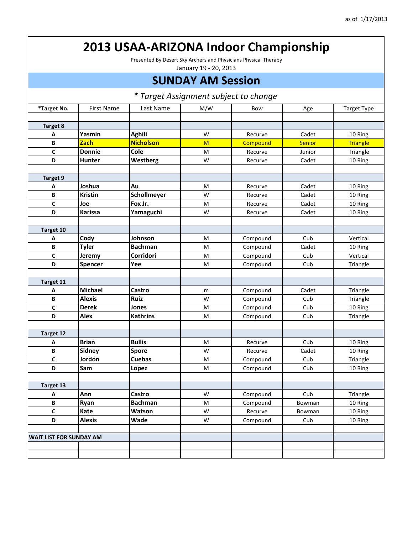Presented By Desert Sky Archers and Physicians Physical Therapy

January 19 ‐ 20, 2013

#### **SUNDAY AM Session**

| *Target No.                    | <b>First Name</b> | Last Name        | M/W | Bow      | Age           | <b>Target Type</b> |
|--------------------------------|-------------------|------------------|-----|----------|---------------|--------------------|
|                                |                   |                  |     |          |               |                    |
| <b>Target 8</b>                |                   |                  |     |          |               |                    |
| Α                              | Yasmin            | <b>Aghili</b>    | W   | Recurve  | Cadet         | 10 Ring            |
| B                              | <b>Zach</b>       | <b>Nicholson</b> | M   | Compound | <b>Senior</b> | <b>Triangle</b>    |
| C                              | <b>Donnie</b>     | Cole             | M   | Recurve  | Junior        | Triangle           |
| D                              | <b>Hunter</b>     | Westberg         | W   | Recurve  | Cadet         | 10 Ring            |
|                                |                   |                  |     |          |               |                    |
| Target 9                       |                   |                  |     |          |               |                    |
| A                              | Joshua            | <b>Au</b>        | M   | Recurve  | Cadet         | 10 Ring            |
| B                              | <b>Kristin</b>    | Schollmeyer      | W   | Recurve  | Cadet         | 10 Ring            |
| $\mathbf c$                    | Joe               | Fox Jr.          | M   | Recurve  | Cadet         | 10 Ring            |
| D                              | <b>Karissa</b>    | Yamaguchi        | W   | Recurve  | Cadet         | 10 Ring            |
|                                |                   |                  |     |          |               |                    |
| Target 10                      |                   |                  |     |          |               |                    |
| Α                              | Cody              | Johnson          | M   | Compound | Cub           | Vertical           |
| B                              | <b>Tyler</b>      | <b>Bachman</b>   | M   | Compound | Cadet         | 10 Ring            |
| $\mathbf c$                    | Jeremy            | <b>Corridori</b> | M   | Compound | Cub           | Vertical           |
| D                              | <b>Spencer</b>    | Yee              | M   | Compound | Cub           | Triangle           |
|                                |                   |                  |     |          |               |                    |
| Target 11                      |                   |                  |     |          |               |                    |
| Α                              | Michael           | Castro           | m   | Compound | Cadet         | Triangle           |
| B                              | <b>Alexis</b>     | <b>Ruiz</b>      | W   | Compound | Cub           | Triangle           |
| $\mathbf c$                    | <b>Derek</b>      | Jones            | M   | Compound | Cub           | 10 Ring            |
| D                              | <b>Alex</b>       | <b>Kathrins</b>  | M   | Compound | Cub           | Triangle           |
|                                |                   |                  |     |          |               |                    |
| Target 12                      |                   |                  |     |          |               |                    |
| Α                              | <b>Brian</b>      | <b>Bullis</b>    | M   | Recurve  | Cub           | 10 Ring            |
| B                              | <b>Sidney</b>     | <b>Spore</b>     | W   | Recurve  | Cadet         | 10 Ring            |
| C                              | Jordon            | <b>Cuebas</b>    | M   | Compound | Cub           | Triangle           |
| D                              | Sam               | Lopez            | M   | Compound | Cub           | 10 Ring            |
|                                |                   |                  |     |          |               |                    |
| Target 13                      |                   |                  |     |          |               |                    |
| Α                              | Ann               | Castro           | W   | Compound | Cub           | Triangle           |
| В                              | Ryan              | <b>Bachman</b>   | M   | Compound | Bowman        | 10 Ring            |
| C                              | Kate              | Watson           | W   | Recurve  | Bowman        | 10 Ring            |
| D                              | <b>Alexis</b>     | Wade             | W   | Compound | Cub           | 10 Ring            |
|                                |                   |                  |     |          |               |                    |
| <b>WAIT LIST FOR SUNDAY AM</b> |                   |                  |     |          |               |                    |
|                                |                   |                  |     |          |               |                    |
|                                |                   |                  |     |          |               |                    |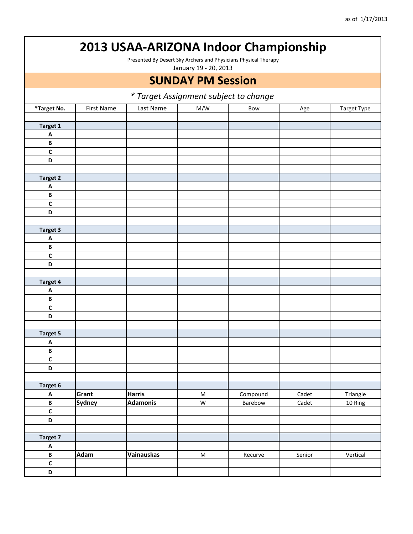Presented By Desert Sky Archers and Physicians Physical Therapy

January 19 ‐ 20, 2013

### **SUNDAY PM Session**

|                           | rarget Assignment subject to change |                 |           |          |        |             |  |  |
|---------------------------|-------------------------------------|-----------------|-----------|----------|--------|-------------|--|--|
| *Target No.               | First Name                          | Last Name       | M/W       | Bow      | Age    | Target Type |  |  |
|                           |                                     |                 |           |          |        |             |  |  |
| Target 1                  |                                     |                 |           |          |        |             |  |  |
| $\boldsymbol{\mathsf{A}}$ |                                     |                 |           |          |        |             |  |  |
| $\, {\bf B} \,$           |                                     |                 |           |          |        |             |  |  |
| $\mathsf{C}$              |                                     |                 |           |          |        |             |  |  |
| D                         |                                     |                 |           |          |        |             |  |  |
|                           |                                     |                 |           |          |        |             |  |  |
| <b>Target 2</b>           |                                     |                 |           |          |        |             |  |  |
| $\boldsymbol{\mathsf{A}}$ |                                     |                 |           |          |        |             |  |  |
| $\, {\bf B}$              |                                     |                 |           |          |        |             |  |  |
| $\mathbf{C}$              |                                     |                 |           |          |        |             |  |  |
| D                         |                                     |                 |           |          |        |             |  |  |
|                           |                                     |                 |           |          |        |             |  |  |
| Target 3                  |                                     |                 |           |          |        |             |  |  |
| A                         |                                     |                 |           |          |        |             |  |  |
| $\, {\bf B}$              |                                     |                 |           |          |        |             |  |  |
| $\mathsf{C}$              |                                     |                 |           |          |        |             |  |  |
| D                         |                                     |                 |           |          |        |             |  |  |
|                           |                                     |                 |           |          |        |             |  |  |
| Target 4                  |                                     |                 |           |          |        |             |  |  |
| $\pmb{\mathsf{A}}$        |                                     |                 |           |          |        |             |  |  |
| $\, {\bf B} \,$           |                                     |                 |           |          |        |             |  |  |
| $\mathsf{C}$              |                                     |                 |           |          |        |             |  |  |
| D                         |                                     |                 |           |          |        |             |  |  |
|                           |                                     |                 |           |          |        |             |  |  |
| <b>Target 5</b>           |                                     |                 |           |          |        |             |  |  |
| $\boldsymbol{\mathsf{A}}$ |                                     |                 |           |          |        |             |  |  |
| $\, {\bf B} \,$           |                                     |                 |           |          |        |             |  |  |
| $\mathbf{C}$              |                                     |                 |           |          |        |             |  |  |
| D                         |                                     |                 |           |          |        |             |  |  |
|                           |                                     |                 |           |          |        |             |  |  |
| Target 6                  |                                     |                 |           |          |        |             |  |  |
| $\boldsymbol{\mathsf{A}}$ | Grant                               | <b>Harris</b>   | ${\sf M}$ | Compound | Cadet  | Triangle    |  |  |
| B                         | <b>Sydney</b>                       | <b>Adamonis</b> | W         | Barebow  | Cadet  | 10 Ring     |  |  |
| $\overline{\mathsf{c}}$   |                                     |                 |           |          |        |             |  |  |
| D                         |                                     |                 |           |          |        |             |  |  |
|                           |                                     |                 |           |          |        |             |  |  |
| Target 7                  |                                     |                 |           |          |        |             |  |  |
| $\mathbf{A}$              |                                     |                 |           |          |        |             |  |  |
| $\, {\bf B} \,$           | Adam                                | Vainauskas      | ${\sf M}$ | Recurve  | Senior | Vertical    |  |  |
| $\mathsf{C}$              |                                     |                 |           |          |        |             |  |  |
| D                         |                                     |                 |           |          |        |             |  |  |